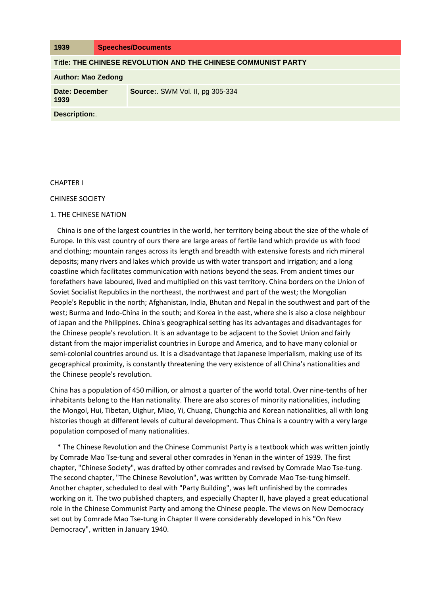| 1939                                                          | <b>Speeches/Documents</b>               |
|---------------------------------------------------------------|-----------------------------------------|
| Title: THE CHINESE REVOLUTION AND THE CHINESE COMMUNIST PARTY |                                         |
| <b>Author: Mao Zedong</b>                                     |                                         |
| Date: December<br>1939                                        | <b>Source:.</b> SWM Vol. II, pg 305-334 |
| <b>Description:.</b>                                          |                                         |

#### CHAPTER I

#### CHINESE SOCIETY

### 1. THE CHINESE NATION

 China is one of the largest countries in the world, her territory being about the size of the whole of Europe. In this vast country of ours there are large areas of fertile land which provide us with food and clothing; mountain ranges across its length and breadth with extensive forests and rich mineral deposits; many rivers and lakes which provide us with water transport and irrigation; and a long coastline which facilitates communication with nations beyond the seas. From ancient times our forefathers have laboured, lived and multiplied on this vast territory. China borders on the Union of Soviet Socialist Republics in the northeast, the northwest and part of the west; the Mongolian People's Republic in the north; Afghanistan, India, Bhutan and Nepal in the southwest and part of the west; Burma and Indo-China in the south; and Korea in the east, where she is also a close neighbour of Japan and the Philippines. China's geographical setting has its advantages and disadvantages for the Chinese people's revolution. It is an advantage to be adjacent to the Soviet Union and fairly distant from the major imperialist countries in Europe and America, and to have many colonial or semi-colonial countries around us. It is a disadvantage that Japanese imperialism, making use of its geographical proximity, is constantly threatening the very existence of all China's nationalities and the Chinese people's revolution.

China has a population of 450 million, or almost a quarter of the world total. Over nine-tenths of her inhabitants belong to the Han nationality. There are also scores of minority nationalities, including the Mongol, Hui, Tibetan, Uighur, Miao, Yi, Chuang, Chungchia and Korean nationalities, all with long histories though at different levels of cultural development. Thus China is a country with a very large population composed of many nationalities.

 \* The Chinese Revolution and the Chinese Communist Party is a textbook which was written jointly by Comrade Mao Tse-tung and several other comrades in Yenan in the winter of 1939. The first chapter, "Chinese Society", was drafted by other comrades and revised by Comrade Mao Tse-tung. The second chapter, "The Chinese Revolution", was written by Comrade Mao Tse-tung himself. Another chapter, scheduled to deal with "Party Building", was left unfinished by the comrades working on it. The two published chapters, and especially Chapter II, have played a great educational role in the Chinese Communist Party and among the Chinese people. The views on New Democracy set out by Comrade Mao Tse-tung in Chapter II were considerably developed in his "On New Democracy", written in January 1940.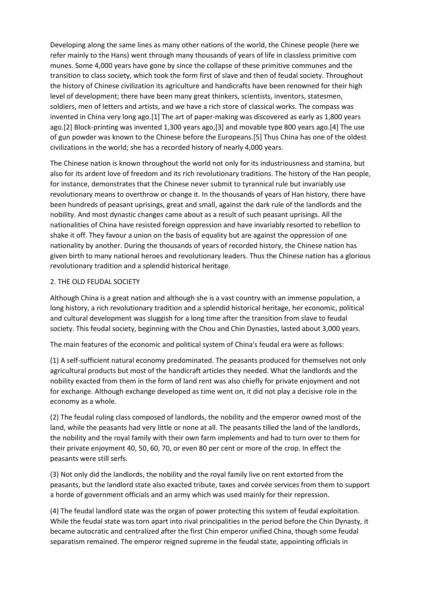Developing along the same lines as many other nations of the world, the Chinese people (here we refer mainly to the Hans) went through many thousands of years of life in classless primitive com munes. Some 4,000 years have gone by since the collapse of these primitive communes and the transition to class society, which took the form first of slave and then of feudal society. Throughout the history of Chinese civilization its agriculture and handicrafts have been renowned for their high level of development; there have been many great thinkers, scientists, inventors, statesmen, soldiers, men of letters and artists, and we have a rich store of classical works. The compass was invented in China very long ago.[1] The art of paper-making was discovered as early as 1,800 years ago.[2] Block-printing was invented 1,300 years ago,[3] and movable type 800 years ago.[4] The use of gun powder was known to the Chinese before the Europeans.[5] Thus China has one of the oldest civilizations in the world; she has a recorded history of nearly 4,000 years.

The Chinese nation is known throughout the world not only for its industriousness and stamina, but also for its ardent love of freedom and its rich revolutionary traditions. The history of the Han people, for instance, demonstrates that the Chinese never submit to tyrannical rule but invariably use revolutionary means to overthrow or change it. In the thousands of years of Han history, there have been hundreds of peasant uprisings, great and small, against the dark rule of the landlords and the nobility. And most dynastic changes came about as a result of such peasant uprisings. All the nationalities of China have resisted foreign oppression and have invariably resorted to rebellion to shake it off. They favour a union on the basis of equality but are against the oppression of one nationality by another. During the thousands of years of recorded history, the Chinese nation has given birth to many national heroes and revolutionary leaders. Thus the Chinese nation has a glorious revolutionary tradition and a splendid historical heritage.

# 2. THE OLD FEUDAL SOCIETY

Although China is a great nation and although she is a vast country with an immense population, a long history, a rich revolutionary tradition and a splendid historical heritage, her economic, political and cultural development was sluggish for a long time after the transition from slave to feudal society. This feudal society, beginning with the Chou and Chin Dynasties, lasted about 3,000 years.

The main features of the economic and political system of China's feudal era were as follows:

(1) A self-sufficient natural economy predominated. The peasants produced for themselves not only agricultural products but most of the handicraft articles they needed. What the landlords and the nobility exacted from them in the form of land rent was also chiefly for private enjoyment and not for exchange. Although exchange developed as time went on, it did not play a decisive role in the economy as a whole.

(2) The feudal ruling class composed of landlords, the nobility and the emperor owned most of the land, while the peasants had very little or none at all. The peasants tilled the land of the landlords, the nobility and the royal family with their own farm implements and had to turn over to them for their private enjoyment 40, 50, 60, 70, or even 80 per cent or more of the crop. In effect the peasants were still serfs.

(3) Not only did the landlords, the nobility and the royal family live on rent extorted from the peasants, but the landlord state also exacted tribute, taxes and corvée services from them to support a horde of government officials and an army which was used mainly for their repression.

(4) The feudal landlord state was the organ of power protecting this system of feudal exploitation. While the feudal state was torn apart into rival principalities in the period before the Chin Dynasty, it became autocratic and centralized after the first Chin emperor unified China, though some feudal separatism remained. The emperor reigned supreme in the feudal state, appointing officials in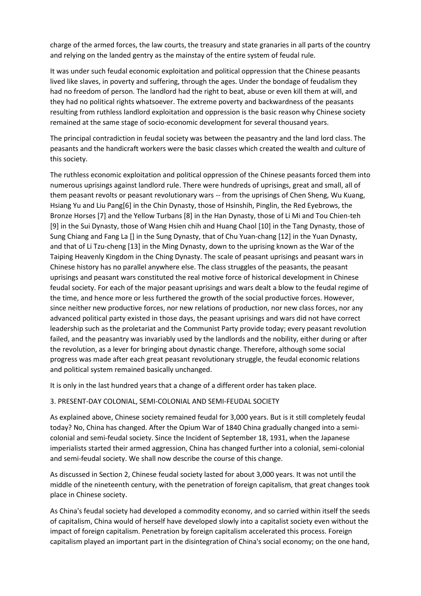charge of the armed forces, the law courts, the treasury and state granaries in all parts of the country and relying on the landed gentry as the mainstay of the entire system of feudal rule.

It was under such feudal economic exploitation and political oppression that the Chinese peasants lived like slaves, in poverty and suffering, through the ages. Under the bondage of feudalism they had no freedom of person. The landlord had the right to beat, abuse or even kill them at will, and they had no political rights whatsoever. The extreme poverty and backwardness of the peasants resulting from ruthless landlord exploitation and oppression is the basic reason why Chinese society remained at the same stage of socio-economic development for several thousand years.

The principal contradiction in feudal society was between the peasantry and the land lord class. The peasants and the handicraft workers were the basic classes which created the wealth and culture of this society.

The ruthless economic exploitation and political oppression of the Chinese peasants forced them into numerous uprisings against landlord rule. There were hundreds of uprisings, great and small, all of them peasant revolts or peasant revolutionary wars -- from the uprisings of Chen Sheng, Wu Kuang, Hsiang Yu and Liu Pang[6] in the Chin Dynasty, those of Hsinshih, Pinglin, the Red Eyebrows, the Bronze Horses [7] and the Yellow Turbans [8] in the Han Dynasty, those of Li Mi and Tou Chien-teh [9] in the Sui Dynasty, those of Wang Hsien chih and Huang Chaol [10] in the Tang Dynasty, those of Sung Chiang and Fang La [] in the Sung Dynasty, that of Chu Yuan-chang [12] in the Yuan Dynasty, and that of Li Tzu-cheng [13] in the Ming Dynasty, down to the uprising known as the War of the Taiping Heavenly Kingdom in the Ching Dynasty. The scale of peasant uprisings and peasant wars in Chinese history has no parallel anywhere else. The class struggles of the peasants, the peasant uprisings and peasant wars constituted the real motive force of historical development in Chinese feudal society. For each of the major peasant uprisings and wars dealt a blow to the feudal regime of the time, and hence more or less furthered the growth of the social productive forces. However, since neither new productive forces, nor new relations of production, nor new class forces, nor any advanced political party existed in those days, the peasant uprisings and wars did not have correct leadership such as the proletariat and the Communist Party provide today; every peasant revolution failed, and the peasantry was invariably used by the landlords and the nobility, either during or after the revolution, as a lever for bringing about dynastic change. Therefore, although some social progress was made after each great peasant revolutionary struggle, the feudal economic relations and political system remained basically unchanged.

It is only in the last hundred years that a change of a different order has taken place.

# 3. PRESENT-DAY COLONIAL, SEMI-COLONIAL AND SEMI-FEUDAL SOCIETY

As explained above, Chinese society remained feudal for 3,000 years. But is it still completely feudal today? No, China has changed. After the Opium War of 1840 China gradually changed into a semicolonial and semi-feudal society. Since the Incident of September 18, 1931, when the Japanese imperialists started their armed aggression, China has changed further into a colonial, semi-colonial and semi-feudal society. We shall now describe the course of this change.

As discussed in Section 2, Chinese feudal society lasted for about 3,000 years. It was not until the middle of the nineteenth century, with the penetration of foreign capitalism, that great changes took place in Chinese society.

As China's feudal society had developed a commodity economy, and so carried within itself the seeds of capitalism, China would of herself have developed slowly into a capitalist society even without the impact of foreign capitalism. Penetration by foreign capitalism accelerated this process. Foreign capitalism played an important part in the disintegration of China's social economy; on the one hand,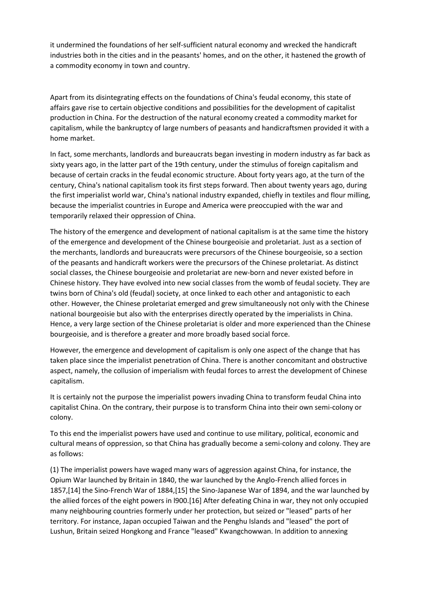it undermined the foundations of her self-sufficient natural economy and wrecked the handicraft industries both in the cities and in the peasants' homes, and on the other, it hastened the growth of a commodity economy in town and country.

Apart from its disintegrating effects on the foundations of China's feudal economy, this state of affairs gave rise to certain objective conditions and possibilities for the development of capitalist production in China. For the destruction of the natural economy created a commodity market for capitalism, while the bankruptcy of large numbers of peasants and handicraftsmen provided it with a home market.

In fact, some merchants, landlords and bureaucrats began investing in modern industry as far back as sixty years ago, in the latter part of the 19th century, under the stimulus of foreign capitalism and because of certain cracks in the feudal economic structure. About forty years ago, at the turn of the century, China's national capitalism took its first steps forward. Then about twenty years ago, during the first imperialist world war, China's national industry expanded, chiefly in textiles and flour milling, because the imperialist countries in Europe and America were preoccupied with the war and temporarily relaxed their oppression of China.

The history of the emergence and development of national capitalism is at the same time the history of the emergence and development of the Chinese bourgeoisie and proletariat. Just as a section of the merchants, landlords and bureaucrats were precursors of the Chinese bourgeoisie, so a section of the peasants and handicraft workers were the precursors of the Chinese proletariat. As distinct social classes, the Chinese bourgeoisie and proletariat are new-born and never existed before in Chinese history. They have evolved into new social classes from the womb of feudal society. They are twins born of China's old (feudal) society, at once linked to each other and antagonistic to each other. However, the Chinese proletariat emerged and grew simultaneously not only with the Chinese national bourgeoisie but also with the enterprises directly operated by the imperialists in China. Hence, a very large section of the Chinese proletariat is older and more experienced than the Chinese bourgeoisie, and is therefore a greater and more broadly based social force.

However, the emergence and development of capitalism is only one aspect of the change that has taken place since the imperialist penetration of China. There is another concomitant and obstructive aspect, namely, the collusion of imperialism with feudal forces to arrest the development of Chinese capitalism.

It is certainly not the purpose the imperialist powers invading China to transform feudal China into capitalist China. On the contrary, their purpose is to transform China into their own semi-colony or colony.

To this end the imperialist powers have used and continue to use military, political, economic and cultural means of oppression, so that China has gradually become a semi-colony and colony. They are as follows:

(1) The imperialist powers have waged many wars of aggression against China, for instance, the Opium War launched by Britain in 1840, the war launched by the Anglo-French allied forces in 1857,[14] the Sino-French War of 1884,[15] the Sino-Japanese War of 1894, and the war launched by the allied forces of the eight powers in l900.[16] After defeating China in war, they not only occupied many neighbouring countries formerly under her protection, but seized or "leased" parts of her territory. For instance, Japan occupied Taiwan and the Penghu Islands and "leased" the port of Lushun, Britain seized Hongkong and France "leased" Kwangchowwan. In addition to annexing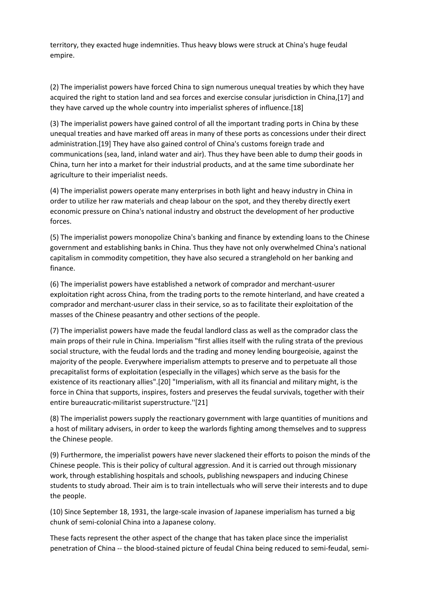territory, they exacted huge indemnities. Thus heavy blows were struck at China's huge feudal empire.

(2) The imperialist powers have forced China to sign numerous unequal treaties by which they have acquired the right to station land and sea forces and exercise consular jurisdiction in China,[17] and they have carved up the whole country into imperialist spheres of influence.[18]

(3) The imperialist powers have gained control of all the important trading ports in China by these unequal treaties and have marked off areas in many of these ports as concessions under their direct administration.[19] They have also gained control of China's customs foreign trade and communications (sea, land, inland water and air). Thus they have been able to dump their goods in China, turn her into a market for their industrial products, and at the same time subordinate her agriculture to their imperialist needs.

(4) The imperialist powers operate many enterprises in both light and heavy industry in China in order to utilize her raw materials and cheap labour on the spot, and they thereby directly exert economic pressure on China's national industry and obstruct the development of her productive forces.

(5) The imperialist powers monopolize China's banking and finance by extending loans to the Chinese government and establishing banks in China. Thus they have not only overwhelmed China's national capitalism in commodity competition, they have also secured a stranglehold on her banking and finance.

(6) The imperialist powers have established a network of comprador and merchant-usurer exploitation right across China, from the trading ports to the remote hinterland, and have created a comprador and merchant-usurer class in their service, so as to facilitate their exploitation of the masses of the Chinese peasantry and other sections of the people.

(7) The imperialist powers have made the feudal landlord class as well as the comprador class the main props of their rule in China. Imperialism "first allies itself with the ruling strata of the previous social structure, with the feudal lords and the trading and money lending bourgeoisie, against the majority of the people. Everywhere imperialism attempts to preserve and to perpetuate all those precapitalist forms of exploitation (especially in the villages) which serve as the basis for the existence of its reactionary allies".[20] "Imperialism, with all its financial and military might, is the force in China that supports, inspires, fosters and preserves the feudal survivals, together with their entire bureaucratic-militarist superstructure.''[21]

(8) The imperialist powers supply the reactionary government with large quantities of munitions and a host of military advisers, in order to keep the warlords fighting among themselves and to suppress the Chinese people.

(9) Furthermore, the imperialist powers have never slackened their efforts to poison the minds of the Chinese people. This is their policy of cultural aggression. And it is carried out through missionary work, through establishing hospitals and schools, publishing newspapers and inducing Chinese students to study abroad. Their aim is to train intellectuals who will serve their interests and to dupe the people.

(10) Since September 18, 1931, the large-scale invasion of Japanese imperialism has turned a big chunk of semi-colonial China into a Japanese colony.

These facts represent the other aspect of the change that has taken place since the imperialist penetration of China -- the blood-stained picture of feudal China being reduced to semi-feudal, semi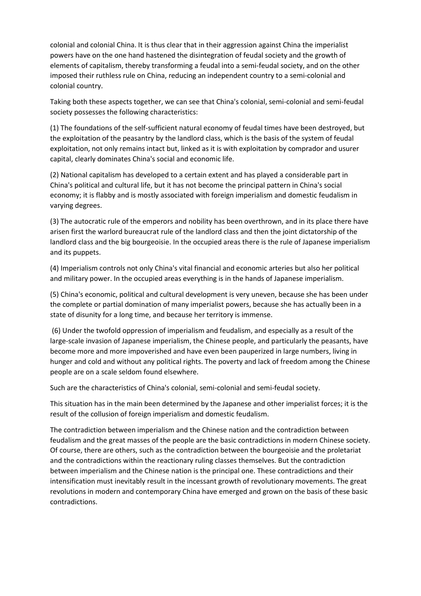colonial and colonial China. It is thus clear that in their aggression against China the imperialist powers have on the one hand hastened the disintegration of feudal society and the growth of elements of capitalism, thereby transforming a feudal into a semi-feudal society, and on the other imposed their ruthless rule on China, reducing an independent country to a semi-colonial and colonial country.

Taking both these aspects together, we can see that China's colonial, semi-colonial and semi-feudal society possesses the following characteristics:

(1) The foundations of the self-sufficient natural economy of feudal times have been destroyed, but the exploitation of the peasantry by the landlord class, which is the basis of the system of feudal exploitation, not only remains intact but, linked as it is with exploitation by comprador and usurer capital, clearly dominates China's social and economic life.

(2) National capitalism has developed to a certain extent and has played a considerable part in China's political and cultural life, but it has not become the principal pattern in China's social economy; it is flabby and is mostly associated with foreign imperialism and domestic feudalism in varying degrees.

(3) The autocratic rule of the emperors and nobility has been overthrown, and in its place there have arisen first the warlord bureaucrat rule of the landlord class and then the joint dictatorship of the landlord class and the big bourgeoisie. In the occupied areas there is the rule of Japanese imperialism and its puppets.

(4) Imperialism controls not only China's vital financial and economic arteries but also her political and military power. In the occupied areas everything is in the hands of Japanese imperialism.

(5) China's economic, political and cultural development is very uneven, because she has been under the complete or partial domination of many imperialist powers, because she has actually been in a state of disunity for a long time, and because her territory is immense.

(6) Under the twofold oppression of imperialism and feudalism, and especially as a result of the large-scale invasion of Japanese imperialism, the Chinese people, and particularly the peasants, have become more and more impoverished and have even been pauperized in large numbers, living in hunger and cold and without any political rights. The poverty and lack of freedom among the Chinese people are on a scale seldom found elsewhere.

Such are the characteristics of China's colonial, semi-colonial and semi-feudal society.

This situation has in the main been determined by the Japanese and other imperialist forces; it is the result of the collusion of foreign imperialism and domestic feudalism.

The contradiction between imperialism and the Chinese nation and the contradiction between feudalism and the great masses of the people are the basic contradictions in modern Chinese society. Of course, there are others, such as the contradiction between the bourgeoisie and the proletariat and the contradictions within the reactionary ruling classes themselves. But the contradiction between imperialism and the Chinese nation is the principal one. These contradictions and their intensification must inevitably result in the incessant growth of revolutionary movements. The great revolutions in modern and contemporary China have emerged and grown on the basis of these basic contradictions.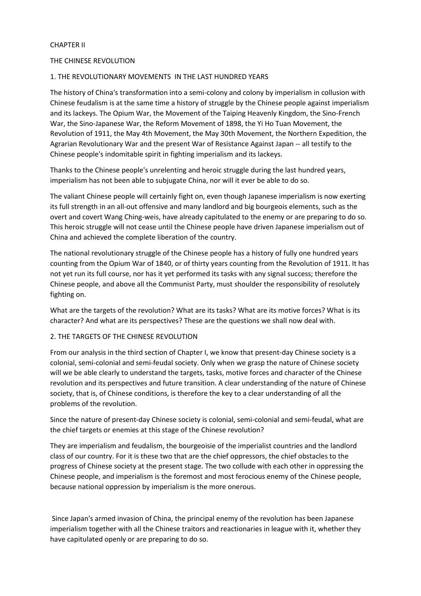#### THE CHINESE REVOLUTION

### 1. THE REVOLUTIONARY MOVEMENTS IN THE LAST HUNDRED YEARS

The history of China's transformation into a semi-colony and colony by imperialism in collusion with Chinese feudalism is at the same time a history of struggle by the Chinese people against imperialism and its lackeys. The Opium War, the Movement of the Taiping Heavenly Kingdom, the Sino-French War, the Sino-Japanese War, the Reform Movement of 1898, the Yi Ho Tuan Movement, the Revolution of 1911, the May 4th Movement, the May 30th Movement, the Northern Expedition, the Agrarian Revolutionary War and the present War of Resistance Against Japan -- all testify to the Chinese people's indomitable spirit in fighting imperialism and its lackeys.

Thanks to the Chinese people's unrelenting and heroic struggle during the last hundred years, imperialism has not been able to subjugate China, nor will it ever be able to do so.

The valiant Chinese people will certainly fight on, even though Japanese imperialism is now exerting its full strength in an all-out offensive and many landlord and big bourgeois elements, such as the overt and covert Wang Ching-weis, have already capitulated to the enemy or are preparing to do so. This heroic struggle will not cease until the Chinese people have driven Japanese imperialism out of China and achieved the complete liberation of the country.

The national revolutionary struggle of the Chinese people has a history of fully one hundred years counting from the Opium War of 1840, or of thirty years counting from the Revolution of 1911. It has not yet run its full course, nor has it yet performed its tasks with any signal success; therefore the Chinese people, and above all the Communist Party, must shoulder the responsibility of resolutely fighting on.

What are the targets of the revolution? What are its tasks? What are its motive forces? What is its character? And what are its perspectives? These are the questions we shall now deal with.

### 2. THE TARGETS OF THE CHINESE REVOLUTION

From our analysis in the third section of Chapter I, we know that present-day Chinese society is a colonial, semi-colonial and semi-feudal society. Only when we grasp the nature of Chinese society will we be able clearly to understand the targets, tasks, motive forces and character of the Chinese revolution and its perspectives and future transition. A clear understanding of the nature of Chinese society, that is, of Chinese conditions, is therefore the key to a clear understanding of all the problems of the revolution.

Since the nature of present-day Chinese society is colonial, semi-colonial and semi-feudal, what are the chief targets or enemies at this stage of the Chinese revolution?

They are imperialism and feudalism, the bourgeoisie of the imperialist countries and the landlord class of our country. For it is these two that are the chief oppressors, the chief obstacles to the progress of Chinese society at the present stage. The two collude with each other in oppressing the Chinese people, and imperialism is the foremost and most ferocious enemy of the Chinese people, because national oppression by imperialism is the more onerous.

Since Japan's armed invasion of China, the principal enemy of the revolution has been Japanese imperialism together with all the Chinese traitors and reactionaries in league with it, whether they have capitulated openly or are preparing to do so.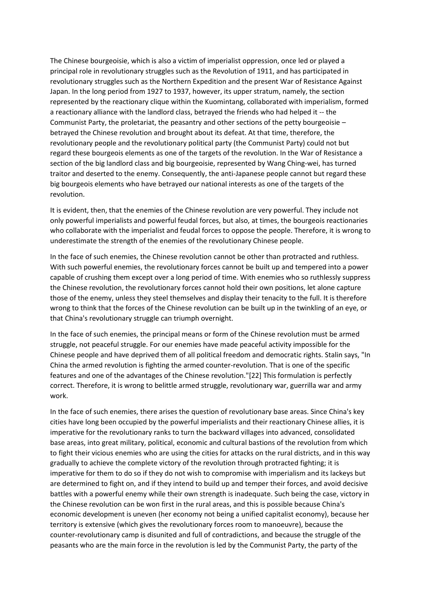The Chinese bourgeoisie, which is also a victim of imperialist oppression, once led or played a principal role in revolutionary struggles such as the Revolution of 1911, and has participated in revolutionary struggles such as the Northern Expedition and the present War of Resistance Against Japan. In the long period from 1927 to 1937, however, its upper stratum, namely, the section represented by the reactionary clique within the Kuomintang, collaborated with imperialism, formed a reactionary alliance with the landlord class, betrayed the friends who had helped it -- the Communist Party, the proletariat, the peasantry and other sections of the petty bourgeoisie – betrayed the Chinese revolution and brought about its defeat. At that time, therefore, the revolutionary people and the revolutionary political party (the Communist Party) could not but regard these bourgeois elements as one of the targets of the revolution. In the War of Resistance a section of the big landlord class and big bourgeoisie, represented by Wang Ching-wei, has turned traitor and deserted to the enemy. Consequently, the anti-Japanese people cannot but regard these big bourgeois elements who have betrayed our national interests as one of the targets of the revolution.

It is evident, then, that the enemies of the Chinese revolution are very powerful. They include not only powerful imperialists and powerful feudal forces, but also, at times, the bourgeois reactionaries who collaborate with the imperialist and feudal forces to oppose the people. Therefore, it is wrong to underestimate the strength of the enemies of the revolutionary Chinese people.

In the face of such enemies, the Chinese revolution cannot be other than protracted and ruthless. With such powerful enemies, the revolutionary forces cannot be built up and tempered into a power capable of crushing them except over a long period of time. With enemies who so ruthlessly suppress the Chinese revolution, the revolutionary forces cannot hold their own positions, let alone capture those of the enemy, unless they steel themselves and display their tenacity to the full. It is therefore wrong to think that the forces of the Chinese revolution can be built up in the twinkling of an eye, or that China's revolutionary struggle can triumph overnight.

In the face of such enemies, the principal means or form of the Chinese revolution must be armed struggle, not peaceful struggle. For our enemies have made peaceful activity impossible for the Chinese people and have deprived them of all political freedom and democratic rights. Stalin says, "In China the armed revolution is fighting the armed counter-revolution. That is one of the specific features and one of the advantages of the Chinese revolution."[22] This formulation is perfectly correct. Therefore, it is wrong to belittle armed struggle, revolutionary war, guerrilla war and army work.

In the face of such enemies, there arises the question of revolutionary base areas. Since China's key cities have long been occupied by the powerful imperialists and their reactionary Chinese allies, it is imperative for the revolutionary ranks to turn the backward villages into advanced, consolidated base areas, into great military, political, economic and cultural bastions of the revolution from which to fight their vicious enemies who are using the cities for attacks on the rural districts, and in this way gradually to achieve the complete victory of the revolution through protracted fighting; it is imperative for them to do so if they do not wish to compromise with imperialism and its lackeys but are determined to fight on, and if they intend to build up and temper their forces, and avoid decisive battles with a powerful enemy while their own strength is inadequate. Such being the case, victory in the Chinese revolution can be won first in the rural areas, and this is possible because China's economic development is uneven (her economy not being a unified capitalist economy), because her territory is extensive (which gives the revolutionary forces room to manoeuvre), because the counter-revolutionary camp is disunited and full of contradictions, and because the struggle of the peasants who are the main force in the revolution is led by the Communist Party, the party of the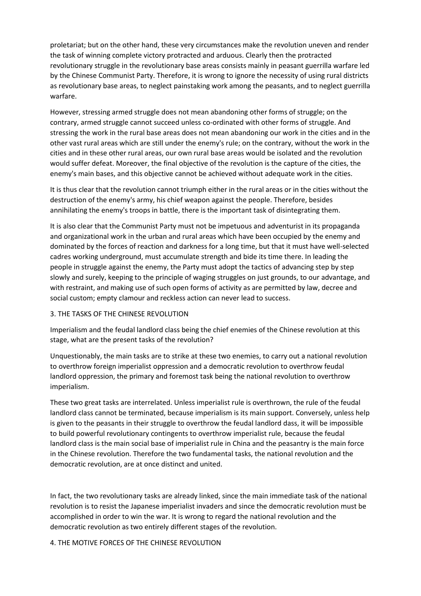proletariat; but on the other hand, these very circumstances make the revolution uneven and render the task of winning complete victory protracted and arduous. Clearly then the protracted revolutionary struggle in the revolutionary base areas consists mainly in peasant guerrilla warfare led by the Chinese Communist Party. Therefore, it is wrong to ignore the necessity of using rural districts as revolutionary base areas, to neglect painstaking work among the peasants, and to neglect guerrilla warfare.

However, stressing armed struggle does not mean abandoning other forms of struggle; on the contrary, armed struggle cannot succeed unless co-ordinated with other forms of struggle. And stressing the work in the rural base areas does not mean abandoning our work in the cities and in the other vast rural areas which are still under the enemy's rule; on the contrary, without the work in the cities and in these other rural areas, our own rural base areas would be isolated and the revolution would suffer defeat. Moreover, the final objective of the revolution is the capture of the cities, the enemy's main bases, and this objective cannot be achieved without adequate work in the cities.

It is thus clear that the revolution cannot triumph either in the rural areas or in the cities without the destruction of the enemy's army, his chief weapon against the people. Therefore, besides annihilating the enemy's troops in battle, there is the important task of disintegrating them.

It is also clear that the Communist Party must not be impetuous and adventurist in its propaganda and organizational work in the urban and rural areas which have been occupied by the enemy and dominated by the forces of reaction and darkness for a long time, but that it must have well-selected cadres working underground, must accumulate strength and bide its time there. In leading the people in struggle against the enemy, the Party must adopt the tactics of advancing step by step slowly and surely, keeping to the principle of waging struggles on just grounds, to our advantage, and with restraint, and making use of such open forms of activity as are permitted by law, decree and social custom; empty clamour and reckless action can never lead to success.

### 3. THE TASKS OF THE CHINESE REVOLUTION

Imperialism and the feudal landlord class being the chief enemies of the Chinese revolution at this stage, what are the present tasks of the revolution?

Unquestionably, the main tasks are to strike at these two enemies, to carry out a national revolution to overthrow foreign imperialist oppression and a democratic revolution to overthrow feudal landlord oppression, the primary and foremost task being the national revolution to overthrow imperialism.

These two great tasks are interrelated. Unless imperialist rule is overthrown, the rule of the feudal landlord class cannot be terminated, because imperialism is its main support. Conversely, unless help is given to the peasants in their struggle to overthrow the feudal landlord dass, it will be impossible to build powerful revolutionary contingents to overthrow imperialist rule, because the feudal landlord class is the main social base of imperialist rule in China and the peasantry is the main force in the Chinese revolution. Therefore the two fundamental tasks, the national revolution and the democratic revolution, are at once distinct and united.

In fact, the two revolutionary tasks are already linked, since the main immediate task of the national revolution is to resist the Japanese imperialist invaders and since the democratic revolution must be accomplished in order to win the war. It is wrong to regard the national revolution and the democratic revolution as two entirely different stages of the revolution.

4. THE MOTIVE FORCES OF THE CHINESE REVOLUTION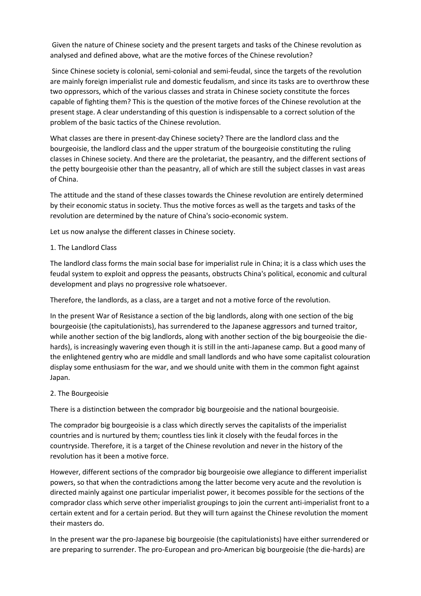Given the nature of Chinese society and the present targets and tasks of the Chinese revolution as analysed and defined above, what are the motive forces of the Chinese revolution?

Since Chinese society is colonial, semi-colonial and semi-feudal, since the targets of the revolution are mainly foreign imperialist rule and domestic feudalism, and since its tasks are to overthrow these two oppressors, which of the various classes and strata in Chinese society constitute the forces capable of fighting them? This is the question of the motive forces of the Chinese revolution at the present stage. A clear understanding of this question is indispensable to a correct solution of the problem of the basic tactics of the Chinese revolution.

What classes are there in present-day Chinese society? There are the landlord class and the bourgeoisie, the landlord class and the upper stratum of the bourgeoisie constituting the ruling classes in Chinese society. And there are the proletariat, the peasantry, and the different sections of the petty bourgeoisie other than the peasantry, all of which are still the subject classes in vast areas of China.

The attitude and the stand of these classes towards the Chinese revolution are entirely determined by their economic status in society. Thus the motive forces as well as the targets and tasks of the revolution are determined by the nature of China's socio-economic system.

Let us now analyse the different classes in Chinese society.

## 1. The Landlord Class

The landlord class forms the main social base for imperialist rule in China; it is a class which uses the feudal system to exploit and oppress the peasants, obstructs China's political, economic and cultural development and plays no progressive role whatsoever.

Therefore, the landlords, as a class, are a target and not a motive force of the revolution.

In the present War of Resistance a section of the big landlords, along with one section of the big bourgeoisie (the capitulationists), has surrendered to the Japanese aggressors and turned traitor, while another section of the big landlords, along with another section of the big bourgeoisie the diehards), is increasingly wavering even though it is still in the anti-Japanese camp. But a good many of the enlightened gentry who are middle and small landlords and who have some capitalist colouration display some enthusiasm for the war, and we should unite with them in the common fight against Japan.

### 2. The Bourgeoisie

There is a distinction between the comprador big bourgeoisie and the national bourgeoisie.

The comprador big bourgeoisie is a class which directly serves the capitalists of the imperialist countries and is nurtured by them; countless ties link it closely with the feudal forces in the countryside. Therefore, it is a target of the Chinese revolution and never in the history of the revolution has it been a motive force.

However, different sections of the comprador big bourgeoisie owe allegiance to different imperialist powers, so that when the contradictions among the latter become very acute and the revolution is directed mainly against one particular imperialist power, it becomes possible for the sections of the comprador class which serve other imperialist groupings to join the current anti-imperialist front to a certain extent and for a certain period. But they will turn against the Chinese revolution the moment their masters do.

In the present war the pro-Japanese big bourgeoisie (the capitulationists) have either surrendered or are preparing to surrender. The pro-European and pro-American big bourgeoisie (the die-hards) are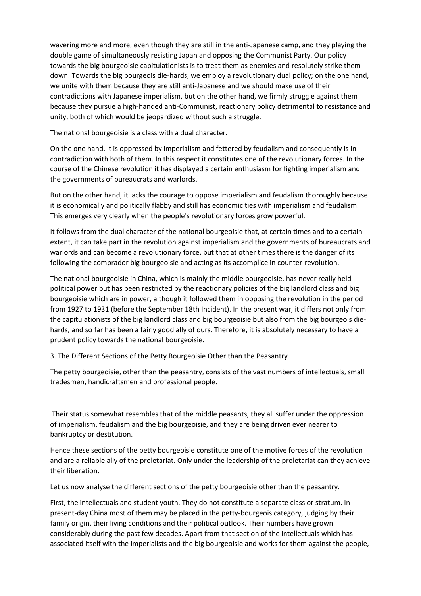wavering more and more, even though they are still in the anti-Japanese camp, and they playing the double game of simultaneously resisting Japan and opposing the Communist Party. Our policy towards the big bourgeoisie capitulationists is to treat them as enemies and resolutely strike them down. Towards the big bourgeois die-hards, we employ a revolutionary dual policy; on the one hand, we unite with them because they are still anti-Japanese and we should make use of their contradictions with Japanese imperialism, but on the other hand, we firmly struggle against them because they pursue a high-handed anti-Communist, reactionary policy detrimental to resistance and unity, both of which would be jeopardized without such a struggle.

The national bourgeoisie is a class with a dual character.

On the one hand, it is oppressed by imperialism and fettered by feudalism and consequently is in contradiction with both of them. In this respect it constitutes one of the revolutionary forces. In the course of the Chinese revolution it has displayed a certain enthusiasm for fighting imperialism and the governments of bureaucrats and warlords.

But on the other hand, it lacks the courage to oppose imperialism and feudalism thoroughly because it is economically and politically flabby and still has economic ties with imperialism and feudalism. This emerges very clearly when the people's revolutionary forces grow powerful.

It follows from the dual character of the national bourgeoisie that, at certain times and to a certain extent, it can take part in the revolution against imperialism and the governments of bureaucrats and warlords and can become a revolutionary force, but that at other times there is the danger of its following the comprador big bourgeoisie and acting as its accomplice in counter-revolution.

The national bourgeoisie in China, which is mainly the middle bourgeoisie, has never really held political power but has been restricted by the reactionary policies of the big landlord class and big bourgeoisie which are in power, although it followed them in opposing the revolution in the period from 1927 to 1931 (before the September 18th Incident). In the present war, it differs not only from the capitulationists of the big landlord class and big bourgeoisie but also from the big bourgeois diehards, and so far has been a fairly good ally of ours. Therefore, it is absolutely necessary to have a prudent policy towards the national bourgeoisie.

3. The Different Sections of the Petty Bourgeoisie Other than the Peasantry

The petty bourgeoisie, other than the peasantry, consists of the vast numbers of intellectuals, small tradesmen, handicraftsmen and professional people.

Their status somewhat resembles that of the middle peasants, they all suffer under the oppression of imperialism, feudalism and the big bourgeoisie, and they are being driven ever nearer to bankruptcy or destitution.

Hence these sections of the petty bourgeoisie constitute one of the motive forces of the revolution and are a reliable ally of the proletariat. Only under the leadership of the proletariat can they achieve their liberation.

Let us now analyse the different sections of the petty bourgeoisie other than the peasantry.

First, the intellectuals and student youth. They do not constitute a separate class or stratum. In present-day China most of them may be placed in the petty-bourgeois category, judging by their family origin, their living conditions and their political outlook. Their numbers have grown considerably during the past few decades. Apart from that section of the intellectuals which has associated itself with the imperialists and the big bourgeoisie and works for them against the people,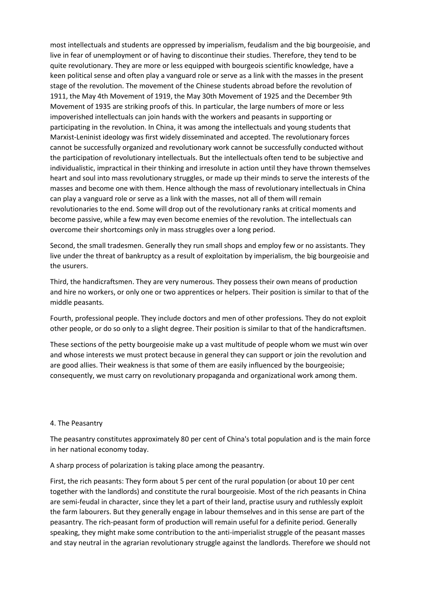most intellectuals and students are oppressed by imperialism, feudalism and the big bourgeoisie, and live in fear of unemployment or of having to discontinue their studies. Therefore, they tend to be quite revolutionary. They are more or less equipped with bourgeois scientific knowledge, have a keen political sense and often play a vanguard role or serve as a link with the masses in the present stage of the revolution. The movement of the Chinese students abroad before the revolution of 1911, the May 4th Movement of 1919, the May 30th Movement of 1925 and the December 9th Movement of 1935 are striking proofs of this. In particular, the large numbers of more or less impoverished intellectuals can join hands with the workers and peasants in supporting or participating in the revolution. In China, it was among the intellectuals and young students that Marxist-Leninist ideology was first widely disseminated and accepted. The revolutionary forces cannot be successfully organized and revolutionary work cannot be successfully conducted without the participation of revolutionary intellectuals. But the intellectuals often tend to be subjective and individualistic, impractical in their thinking and irresolute in action until they have thrown themselves heart and soul into mass revolutionary struggles, or made up their minds to serve the interests of the masses and become one with them. Hence although the mass of revolutionary intellectuals in China can play a vanguard role or serve as a link with the masses, not all of them will remain revolutionaries to the end. Some will drop out of the revolutionary ranks at critical moments and become passive, while a few may even become enemies of the revolution. The intellectuals can overcome their shortcomings only in mass struggles over a long period.

Second, the small tradesmen. Generally they run small shops and employ few or no assistants. They live under the threat of bankruptcy as a result of exploitation by imperialism, the big bourgeoisie and the usurers.

Third, the handicraftsmen. They are very numerous. They possess their own means of production and hire no workers, or only one or two apprentices or helpers. Their position is similar to that of the middle peasants.

Fourth, professional people. They include doctors and men of other professions. They do not exploit other people, or do so only to a slight degree. Their position is similar to that of the handicraftsmen.

These sections of the petty bourgeoisie make up a vast multitude of people whom we must win over and whose interests we must protect because in general they can support or join the revolution and are good allies. Their weakness is that some of them are easily influenced by the bourgeoisie; consequently, we must carry on revolutionary propaganda and organizational work among them.

#### 4. The Peasantry

The peasantry constitutes approximately 80 per cent of China's total population and is the main force in her national economy today.

A sharp process of polarization is taking place among the peasantry.

First, the rich peasants: They form about 5 per cent of the rural population (or about 10 per cent together with the landlords) and constitute the rural bourgeoisie. Most of the rich peasants in China are semi-feudal in character, since they let a part of their land, practise usury and ruthlessly exploit the farm labourers. But they generally engage in labour themselves and in this sense are part of the peasantry. The rich-peasant form of production will remain useful for a definite period. Generally speaking, they might make some contribution to the anti-imperialist struggle of the peasant masses and stay neutral in the agrarian revolutionary struggle against the landlords. Therefore we should not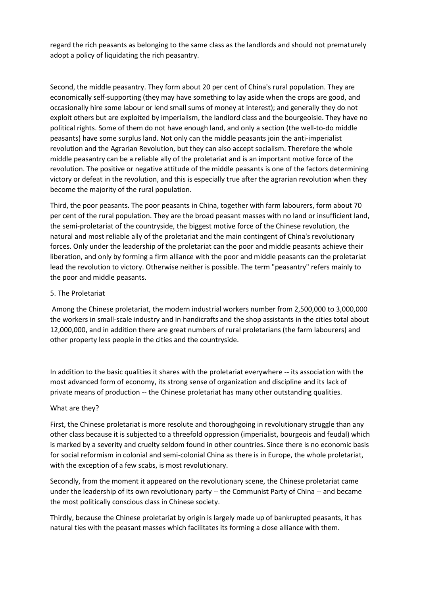regard the rich peasants as belonging to the same class as the landlords and should not prematurely adopt a policy of liquidating the rich peasantry.

Second, the middle peasantry. They form about 20 per cent of China's rural population. They are economically self-supporting (they may have something to lay aside when the crops are good, and occasionally hire some labour or lend small sums of money at interest); and generally they do not exploit others but are exploited by imperialism, the landlord class and the bourgeoisie. They have no political rights. Some of them do not have enough land, and only a section (the well-to-do middle peasants) have some surplus land. Not only can the middle peasants join the anti-imperialist revolution and the Agrarian Revolution, but they can also accept socialism. Therefore the whole middle peasantry can be a reliable ally of the proletariat and is an important motive force of the revolution. The positive or negative attitude of the middle peasants is one of the factors determining victory or defeat in the revolution, and this is especially true after the agrarian revolution when they become the majority of the rural population.

Third, the poor peasants. The poor peasants in China, together with farm labourers, form about 70 per cent of the rural population. They are the broad peasant masses with no land or insufficient land, the semi-proletariat of the countryside, the biggest motive force of the Chinese revolution, the natural and most reliable ally of the proletariat and the main contingent of China's revolutionary forces. Only under the leadership of the proletariat can the poor and middle peasants achieve their liberation, and only by forming a firm alliance with the poor and middle peasants can the proletariat lead the revolution to victory. Otherwise neither is possible. The term "peasantry" refers mainly to the poor and middle peasants.

## 5. The Proletariat

Among the Chinese proletariat, the modern industrial workers number from 2,500,000 to 3,000,000 the workers in small-scale industry and in handicrafts and the shop assistants in the cities total about 12,000,000, and in addition there are great numbers of rural proletarians (the farm labourers) and other property less people in the cities and the countryside.

In addition to the basic qualities it shares with the proletariat everywhere -- its association with the most advanced form of economy, its strong sense of organization and discipline and its lack of private means of production -- the Chinese proletariat has many other outstanding qualities.

### What are they?

First, the Chinese proletariat is more resolute and thoroughgoing in revolutionary struggle than any other class because it is subjected to a threefold oppression (imperialist, bourgeois and feudal) which is marked by a severity and cruelty seldom found in other countries. Since there is no economic basis for social reformism in colonial and semi-colonial China as there is in Europe, the whole proletariat, with the exception of a few scabs, is most revolutionary.

Secondly, from the moment it appeared on the revolutionary scene, the Chinese proletariat came under the leadership of its own revolutionary party -- the Communist Party of China -- and became the most politically conscious class in Chinese society.

Thirdly, because the Chinese proletariat by origin is largely made up of bankrupted peasants, it has natural ties with the peasant masses which facilitates its forming a close alliance with them.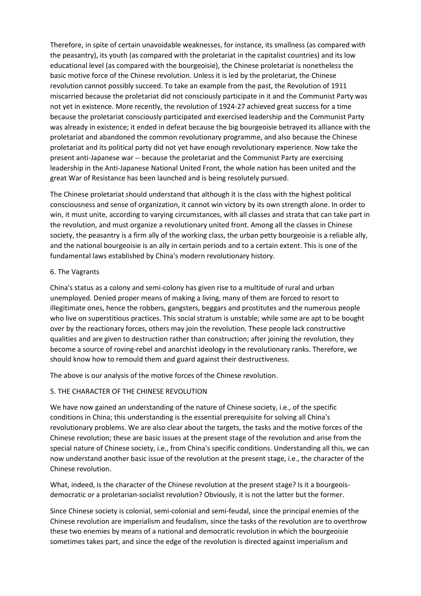Therefore, in spite of certain unavoidable weaknesses, for instance, its smallness (as compared with the peasantry), its youth (as compared with the proletariat in the capitalist countries) and its low educational level (as compared with the bourgeoisie), the Chinese proletariat is nonetheless the basic motive force of the Chinese revolution. Unless it is led by the proletariat, the Chinese revolution cannot possibly succeed. To take an example from the past, the Revolution of 1911 miscarried because the proletariat did not consciously participate in it and the Communist Party was not yet in existence. More recently, the revolution of 1924-27 achieved great success for a time because the proletariat consciously participated and exercised leadership and the Communist Party was already in existence; it ended in defeat because the big bourgeoisie betrayed its alliance with the proletariat and abandoned the common revolutionary programme, and also because the Chinese proletariat and its political party did not yet have enough revolutionary experience. Now take the present anti-Japanese war -- because the proletariat and the Communist Party are exercising leadership in the Anti-Japanese National United Front, the whole nation has been united and the great War of Resistance has been launched and is being resolutely pursued.

The Chinese proletariat should understand that although it is the class with the highest political consciousness and sense of organization, it cannot win victory by its own strength alone. In order to win, it must unite, according to varying circumstances, with all classes and strata that can take part in the revolution, and must organize a revolutionary united front. Among all the classes in Chinese society, the peasantry is a firm ally of the working class, the urban petty bourgeoisie is a reliable ally, and the national bourgeoisie is an ally in certain periods and to a certain extent. This is one of the fundamental laws established by China's modern revolutionary history.

## 6. The Vagrants

China's status as a colony and semi-colony has given rise to a multitude of rural and urban unemployed. Denied proper means of making a living, many of them are forced to resort to illegitimate ones, hence the robbers, gangsters, beggars and prostitutes and the numerous people who live on superstitious practices. This social stratum is unstable; while some are apt to be bought over by the reactionary forces, others may join the revolution. These people lack constructive qualities and are given to destruction rather than construction; after joining the revolution, they become a source of roving-rebel and anarchist ideology in the revolutionary ranks. Therefore, we should know how to remould them and guard against their destructiveness.

The above is our analysis of the motive forces of the Chinese revolution.

# 5. THE CHARACTER OF THE CHINESE REVOLUTION

We have now gained an understanding of the nature of Chinese society, i.e., of the specific conditions in China; this understanding is the essential prerequisite for solving all China's revolutionary problems. We are also clear about the targets, the tasks and the motive forces of the Chinese revolution; these are basic issues at the present stage of the revolution and arise from the special nature of Chinese society, i.e., from China's specific conditions. Understanding all this, we can now understand another basic issue of the revolution at the present stage, i.e., the character of the Chinese revolution.

What, indeed, is the character of the Chinese revolution at the present stage? Is it a bourgeoisdemocratic or a proletarian-socialist revolution? Obviously, it is not the latter but the former.

Since Chinese society is colonial, semi-colonial and semi-feudal, since the principal enemies of the Chinese revolution are imperialism and feudalism, since the tasks of the revolution are to overthrow these two enemies by means of a national and democratic revolution in which the bourgeoisie sometimes takes part, and since the edge of the revolution is directed against imperialism and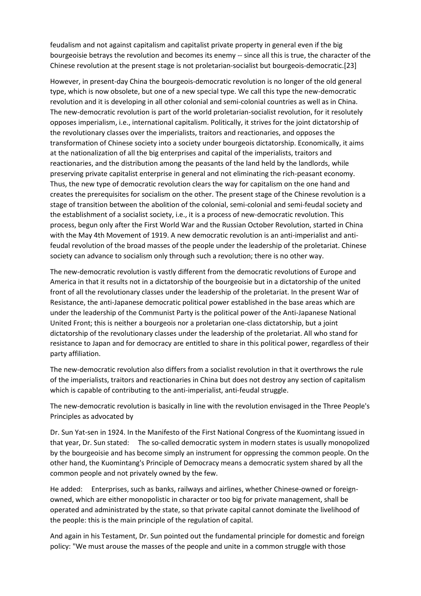feudalism and not against capitalism and capitalist private property in general even if the big bourgeoisie betrays the revolution and becomes its enemy -- since all this is true, the character of the Chinese revolution at the present stage is not proletarian-socialist but bourgeois-democratic.[23]

However, in present-day China the bourgeois-democratic revolution is no longer of the old general type, which is now obsolete, but one of a new special type. We call this type the new-democratic revolution and it is developing in all other colonial and semi-colonial countries as well as in China. The new-democratic revolution is part of the world proletarian-socialist revolution, for it resolutely opposes imperialism, i.e., international capitalism. Politically, it strives for the joint dictatorship of the revolutionary classes over the imperialists, traitors and reactionaries, and opposes the transformation of Chinese society into a society under bourgeois dictatorship. Economically, it aims at the nationalization of all the big enterprises and capital of the imperialists, traitors and reactionaries, and the distribution among the peasants of the land held by the landlords, while preserving private capitalist enterprise in general and not eliminating the rich-peasant economy. Thus, the new type of democratic revolution clears the way for capitalism on the one hand and creates the prerequisites for socialism on the other. The present stage of the Chinese revolution is a stage of transition between the abolition of the colonial, semi-colonial and semi-feudal society and the establishment of a socialist society, i.e., it is a process of new-democratic revolution. This process, begun only after the First World War and the Russian October Revolution, started in China with the May 4th Movement of 1919. A new democratic revolution is an anti-imperialist and antifeudal revolution of the broad masses of the people under the leadership of the proletariat. Chinese society can advance to socialism only through such a revolution; there is no other way.

The new-democratic revolution is vastly different from the democratic revolutions of Europe and America in that it results not in a dictatorship of the bourgeoisie but in a dictatorship of the united front of all the revolutionary classes under the leadership of the proletariat. In the present War of Resistance, the anti-Japanese democratic political power established in the base areas which are under the leadership of the Communist Party is the political power of the Anti-Japanese National United Front; this is neither a bourgeois nor a proletarian one-class dictatorship, but a joint dictatorship of the revolutionary classes under the leadership of the proletariat. All who stand for resistance to Japan and for democracy are entitled to share in this political power, regardless of their party affiliation.

The new-democratic revolution also differs from a socialist revolution in that it overthrows the rule of the imperialists, traitors and reactionaries in China but does not destroy any section of capitalism which is capable of contributing to the anti-imperialist, anti-feudal struggle.

The new-democratic revolution is basically in line with the revolution envisaged in the Three People's Principles as advocated by

Dr. Sun Yat-sen in 1924. In the Manifesto of the First National Congress of the Kuomintang issued in that year, Dr. Sun stated: The so-called democratic system in modern states is usually monopolized by the bourgeoisie and has become simply an instrument for oppressing the common people. On the other hand, the Kuomintang's Principle of Democracy means a democratic system shared by all the common people and not privately owned by the few.

He added: Enterprises, such as banks, railways and airlines, whether Chinese-owned or foreignowned, which are either monopolistic in character or too big for private management, shall be operated and administrated by the state, so that private capital cannot dominate the livelihood of the people: this is the main principle of the regulation of capital.

And again in his Testament, Dr. Sun pointed out the fundamental principle for domestic and foreign policy: "We must arouse the masses of the people and unite in a common struggle with those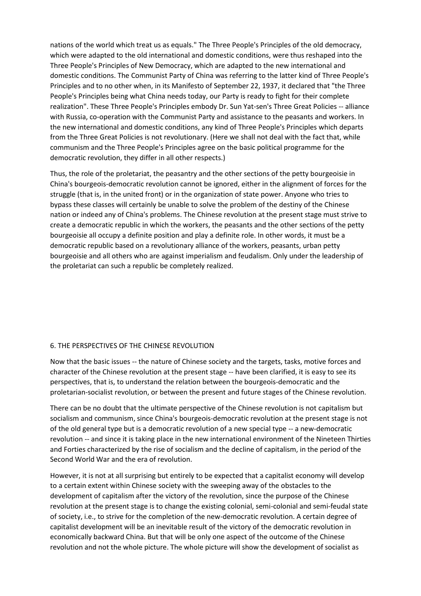nations of the world which treat us as equals." The Three People's Principles of the old democracy, which were adapted to the old international and domestic conditions, were thus reshaped into the Three People's Principles of New Democracy, which are adapted to the new international and domestic conditions. The Communist Party of China was referring to the latter kind of Three People's Principles and to no other when, in its Manifesto of September 22, 1937, it declared that "the Three People's Principles being what China needs today, our Party is ready to fight for their complete realization". These Three People's Principles embody Dr. Sun Yat-sen's Three Great Policies -- alliance with Russia, co-operation with the Communist Party and assistance to the peasants and workers. In the new international and domestic conditions, any kind of Three People's Principles which departs from the Three Great Policies is not revolutionary. (Here we shall not deal with the fact that, while communism and the Three People's Principles agree on the basic political programme for the democratic revolution, they differ in all other respects.)

Thus, the role of the proletariat, the peasantry and the other sections of the petty bourgeoisie in China's bourgeois-democratic revolution cannot be ignored, either in the alignment of forces for the struggle (that is, in the united front) or in the organization of state power. Anyone who tries to bypass these classes will certainly be unable to solve the problem of the destiny of the Chinese nation or indeed any of China's problems. The Chinese revolution at the present stage must strive to create a democratic republic in which the workers, the peasants and the other sections of the petty bourgeoisie all occupy a definite position and play a definite role. In other words, it must be a democratic republic based on a revolutionary alliance of the workers, peasants, urban petty bourgeoisie and all others who are against imperialism and feudalism. Only under the leadership of the proletariat can such a republic be completely realized.

# 6. THE PERSPECTIVES OF THE CHINESE REVOLUTION

Now that the basic issues -- the nature of Chinese society and the targets, tasks, motive forces and character of the Chinese revolution at the present stage -- have been clarified, it is easy to see its perspectives, that is, to understand the relation between the bourgeois-democratic and the proletarian-socialist revolution, or between the present and future stages of the Chinese revolution.

There can be no doubt that the ultimate perspective of the Chinese revolution is not capitalism but socialism and communism, since China's bourgeois-democratic revolution at the present stage is not of the old general type but is a democratic revolution of a new special type -- a new-democratic revolution -- and since it is taking place in the new international environment of the Nineteen Thirties and Forties characterized by the rise of socialism and the decline of capitalism, in the period of the Second World War and the era of revolution.

However, it is not at all surprising but entirely to be expected that a capitalist economy will develop to a certain extent within Chinese society with the sweeping away of the obstacles to the development of capitalism after the victory of the revolution, since the purpose of the Chinese revolution at the present stage is to change the existing colonial, semi-colonial and semi-feudal state of society, i.e., to strive for the completion of the new-democratic revolution. A certain degree of capitalist development will be an inevitable result of the victory of the democratic revolution in economically backward China. But that will be only one aspect of the outcome of the Chinese revolution and not the whole picture. The whole picture will show the development of socialist as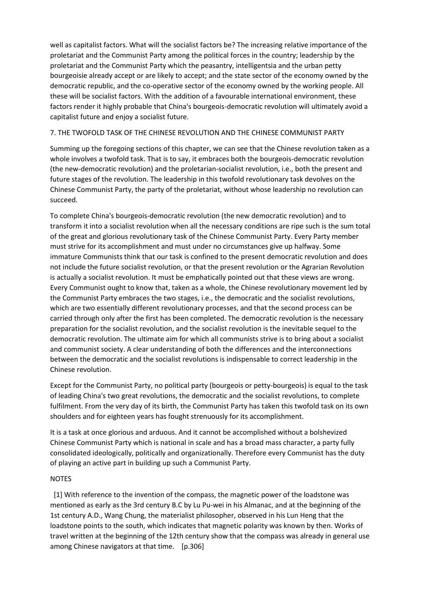well as capitalist factors. What will the socialist factors be? The increasing relative importance of the proletariat and the Communist Party among the political forces in the country; leadership by the proletariat and the Communist Party which the peasantry, intelligentsia and the urban petty bourgeoisie already accept or are likely to accept; and the state sector of the economy owned by the democratic republic, and the co-operative sector of the economy owned by the working people. All these will be socialist factors. With the addition of a favourable international environment, these factors render it highly probable that China's bourgeois-democratic revolution will ultimately avoid a capitalist future and enjoy a socialist future.

## 7. THE TWOFOLD TASK OF THE CHINESE REVOLUTION AND THE CHINESE COMMUNIST PARTY

Summing up the foregoing sections of this chapter, we can see that the Chinese revolution taken as a whole involves a twofold task. That is to say, it embraces both the bourgeois-democratic revolution (the new-democratic revolution) and the proletarian-socialist revolution, i.e., both the present and future stages of the revolution. The leadership in this twofold revolutionary task devolves on the Chinese Communist Party, the party of the proletariat, without whose leadership no revolution can succeed.

To complete China's bourgeois-democratic revolution (the new democratic revolution) and to transform it into a socialist revolution when all the necessary conditions are ripe such is the sum total of the great and glorious revolutionary task of the Chinese Communist Party. Every Party member must strive for its accomplishment and must under no circumstances give up halfway. Some immature Communists think that our task is confined to the present democratic revolution and does not include the future socialist revolution, or that the present revolution or the Agrarian Revolution is actually a socialist revolution. It must be emphatically pointed out that these views are wrong. Every Communist ought to know that, taken as a whole, the Chinese revolutionary movement led by the Communist Party embraces the two stages, i.e., the democratic and the socialist revolutions, which are two essentially different revolutionary processes, and that the second process can be carried through only after the first has been completed. The democratic revolution is the necessary preparation for the socialist revolution, and the socialist revolution is the inevitable sequel to the democratic revolution. The ultimate aim for which all communists strive is to bring about a socialist and communist society. A clear understanding of both the differences and the interconnections between the democratic and the socialist revolutions is indispensable to correct leadership in the Chinese revolution.

Except for the Communist Party, no political party (bourgeois or petty-bourgeois) is equal to the task of leading China's two great revolutions, the democratic and the socialist revolutions, to complete fulfilment. From the very day of its birth, the Communist Party has taken this twofold task on its own shoulders and for eighteen years has fought strenuously for its accomplishment.

It is a task at once glorious and arduous. And it cannot be accomplished without a bolshevized Chinese Communist Party which is national in scale and has a broad mass character, a party fully consolidated ideologically, politically and organizationally. Therefore every Communist has the duty of playing an active part in building up such a Communist Party.

### **NOTES**

 [1] With reference to the invention of the compass, the magnetic power of the loadstone was mentioned as early as the 3rd century B.C by Lu Pu-wei in his Almanac, and at the beginning of the 1st century A.D., Wang Chung, the materialist philosopher, observed in his Lun Heng that the loadstone points to the south, which indicates that magnetic polarity was known by then. Works of travel written at the beginning of the 12th century show that the compass was already in general use among Chinese navigators at that time. [p.306]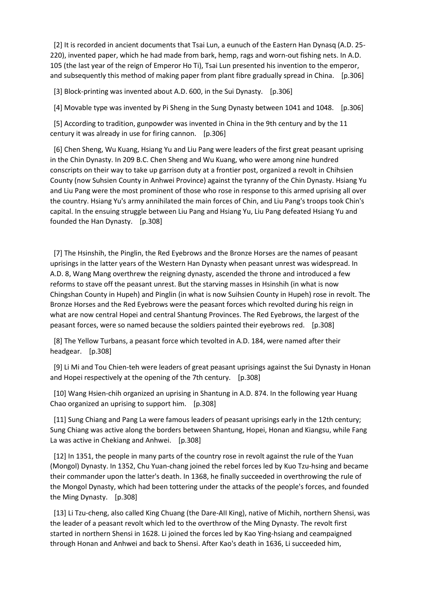[2] It is recorded in ancient documents that Tsai Lun, a eunuch of the Eastern Han Dynasq (A.D. 25- 220), invented paper, which he had made from bark, hemp, rags and worn-out fishing nets. In A.D. 105 (the last year of the reign of Emperor Ho Ti), Tsai Lun presented his invention to the emperor, and subsequently this method of making paper from plant fibre gradually spread in China. [p.306]

[3] Block-printing was invented about A.D. 600, in the Sui Dynasty. [p.306]

[4] Movable type was invented by Pi Sheng in the Sung Dynasty between 1041 and 1048. [p.306]

 [5] According to tradition, gunpowder was invented in China in the 9th century and by the 11 century it was already in use for firing cannon. [p.306]

 [6] Chen Sheng, Wu Kuang, Hsiang Yu and Liu Pang were leaders of the first great peasant uprising in the Chin Dynasty. In 209 B.C. Chen Sheng and Wu Kuang, who were among nine hundred conscripts on their way to take up garrison duty at a frontier post, organized a revolt in Chihsien County (now Suhsien County in Anhwei Province) against the tyranny of the Chin Dynasty. Hsiang Yu and Liu Pang were the most prominent of those who rose in response to this armed uprising all over the country. Hsiang Yu's army annihilated the main forces of Chin, and Liu Pang's troops took Chin's capital. In the ensuing struggle between Liu Pang and Hsiang Yu, Liu Pang defeated Hsiang Yu and founded the Han Dynasty. [p.308]

 [7] The Hsinshih, the Pinglin, the Red Eyebrows and the Bronze Horses are the names of peasant uprisings in the latter years of the Western Han Dynasty when peasant unrest was widespread. In A.D. 8, Wang Mang overthrew the reigning dynasty, ascended the throne and introduced a few reforms to stave off the peasant unrest. But the starving masses in Hsinshih (in what is now Chingshan County in Hupeh) and Pinglin (in what is now Suihsien County in Hupeh) rose in revolt. The Bronze Horses and the Red Eyebrows were the peasant forces which revolted during his reign in what are now central Hopei and central Shantung Provinces. The Red Eyebrows, the largest of the peasant forces, were so named because the soldiers painted their eyebrows red. [p.308]

 [8] The Yellow Turbans, a peasant force which tevolted in A.D. 184, were named after their headgear. [p.308]

 [9] Li Mi and Tou Chien-teh were leaders of great peasant uprisings against the Sui Dynasty in Honan and Hopei respectively at the opening of the 7th century. [p.308]

 [10] Wang Hsien-chih organized an uprising in Shantung in A.D. 874. In the following year Huang Chao organized an uprising to support him. [p.308]

 [11] Sung Chiang and Pang La were famous leaders of peasant uprisings early in the 12th century; Sung Chiang was active along the borders between Shantung, Hopei, Honan and Kiangsu, while Fang La was active in Chekiang and Anhwei. [p.308]

 [12] In 1351, the people in many parts of the country rose in revolt against the rule of the Yuan (Mongol) Dynasty. In 1352, Chu Yuan-chang joined the rebel forces led by Kuo Tzu-hsing and became their commander upon the latter's death. In 1368, he finally succeeded in overthrowing the rule of the Mongol Dynasty, which had been tottering under the attacks of the people's forces, and founded the Ming Dynasty. [p.308]

 [13] Li Tzu-cheng, also called King Chuang (the Dare-AII King), native of Michih, northern Shensi, was the leader of a peasant revolt which led to the overthrow of the Ming Dynasty. The revolt first started in northern Shensi in 1628. Li joined the forces led by Kao Ying-hsiang and ceampaigned through Honan and Anhwei and back to Shensi. After Kao's death in 1636, Li succeeded him,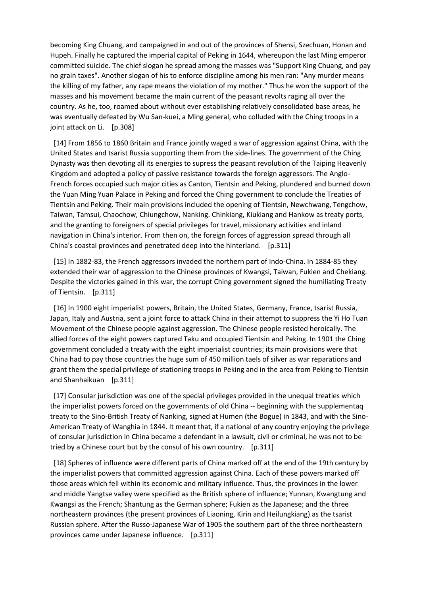becoming King Chuang, and campaigned in and out of the provinces of Shensi, Szechuan, Honan and Hupeh. Finally he captured the imperial capital of Peking in 1644, whereupon the last Ming emperor committed suicide. The chief slogan he spread among the masses was "Support King Chuang, and pay no grain taxes". Another slogan of his to enforce discipline among his men ran: "Any murder means the killing of my father, any rape means the violation of my mother." Thus he won the support of the masses and his movement became the main current of the peasant revolts raging all over the country. As he, too, roamed about without ever establishing relatively consolidated base areas, he was eventually defeated by Wu San-kuei, a Ming general, who colluded with the Ching troops in a joint attack on Li. [p.308]

 [14] From 1856 to 1860 Britain and France jointly waged a war of aggression against China, with the United States and tsarist Russia supporting them from the side-lines. The government of the Ching Dynasty was then devoting all its energies to supress the peasant revolution of the Taiping Heavenly Kingdom and adopted a policy of passive resistance towards the foreign aggressors. The Anglo-French forces occupied such major cities as Canton, Tientsin and Peking, plundered and burned down the Yuan Ming Yuan Palace in Peking and forced the Ching government to conclude the Treaties of Tientsin and Peking. Their main provisions included the opening of Tientsin, Newchwang, Tengchow, Taiwan, Tamsui, Chaochow, Chiungchow, Nanking. Chinkiang, Kiukiang and Hankow as treaty ports, and the granting to foreigners of special privileges for travel, missionary activities and inland navigation in China's interior. From then on, the foreign forces of aggression spread through all China's coastal provinces and penetrated deep into the hinterland. [p.311]

 [15] In 1882-83, the French aggressors invaded the northern part of Indo-China. In 1884-85 they extended their war of aggression to the Chinese provinces of Kwangsi, Taiwan, Fukien and Chekiang. Despite the victories gained in this war, the corrupt Ching government signed the humiliating Treaty of Tientsin. [p.311]

 [16] In 1900 eight imperialist powers, Britain, the United States, Germany, France, tsarist Russia, Japan, Italy and Austria, sent a joint force to attack China in their attempt to suppress the Yi Ho Tuan Movement of the Chinese people against aggression. The Chinese people resisted heroically. The allied forces of the eight powers captured Taku and occupied Tientsin and Peking. In 1901 the Ching government concluded a treaty with the eight imperialist countries; its main provisions were that China had to pay those countries the huge sum of 450 million taels of silver as war reparations and grant them the special privilege of stationing troops in Peking and in the area from Peking to Tientsin and Shanhaikuan [p.311]

 [17] Consular jurisdiction was one of the special privileges provided in the unequal treaties which the imperialist powers forced on the governments of old China -- beginning with the supplementaq treaty to the Sino-British Treaty of Nanking, signed at Humen (the Bogue) in 1843, and with the Sino-American Treaty of Wanghia in 1844. It meant that, if a national of any country enjoying the privilege of consular jurisdiction in China became a defendant in a lawsuit, civil or criminal, he was not to be tried by a Chinese court but by the consul of his own country. [p.311]

 [18] Spheres of influence were different parts of China marked off at the end of the 19th century by the imperialist powers that committed aggression against China. Each of these powers marked off those areas which fell within its economic and military influence. Thus, the provinces in the lower and middle Yangtse valley were specified as the British sphere of influence; Yunnan, Kwangtung and Kwangsi as the French; Shantung as the German sphere; Fukien as the Japanese; and the three northeastern provinces (the present provinces of Liaoning, Kirin and Heilungkiang) as the tsarist Russian sphere. After the Russo-Japanese War of 1905 the southern part of the three northeastern provinces came under Japanese influence. [p.311]